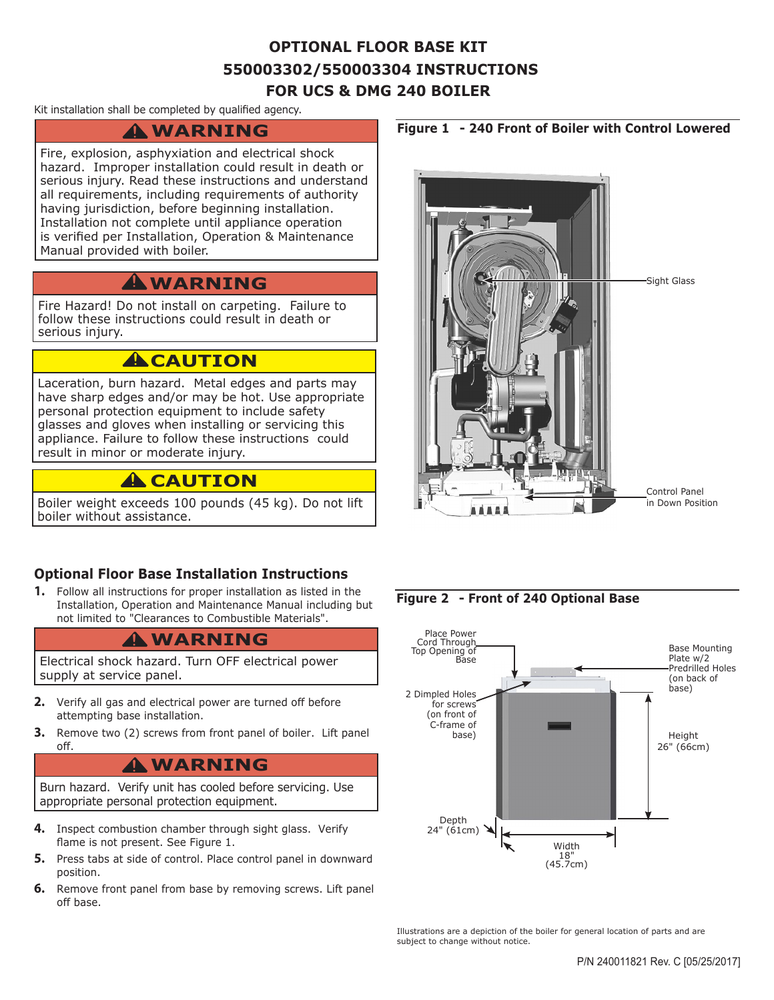### **OPTIONAL FLOOR BASE KIT 550003302/550003304 INSTRUCTIONS FOR UCS & DMG 240 BOILER**

#### Kit installation shall be completed by qualified agency.

# **WARNING !**

Fire, explosion, asphyxiation and electrical shock hazard. Improper installation could result in death or serious injury. Read these instructions and understand all requirements, including requirements of authority having jurisdiction, before beginning installation. Installation not complete until appliance operation is verified per Installation, Operation & Maintenance Manual provided with boiler.

### **WARNING !**

Fire Hazard! Do not install on carpeting. Failure to follow these instructions could result in death or serious injury.

### **A**CAUTION

Laceration, burn hazard. Metal edges and parts may have sharp edges and/or may be hot. Use appropriate personal protection equipment to include safety glasses and gloves when installing or servicing this appliance. Failure to follow these instructions could result in minor or moderate injury.

### **A** CAUTION

Boiler weight exceeds 100 pounds (45 kg). Do not lift boiler without assistance.

### **Optional Floor Base Installation Instructions**

**1.** Follow all instructions for proper installation as listed in the Installation, Operation and Maintenance Manual including but not limited to "Clearances to Combustible Materials".

# **WARNING !**

Electrical shock hazard. Turn OFF electrical power supply at service panel.

- **2.** Verify all gas and electrical power are turned off before attempting base installation.
- **3.** Remove two (2) screws from front panel of boiler. Lift panel off.

# **WARNING !**

Burn hazard. Verify unit has cooled before servicing. Use appropriate personal protection equipment.

- **4.** Inspect combustion chamber through sight glass. Verify flame is not present. See Figure 1.
- **5.** Press tabs at side of control. Place control panel in downward position.
- **6.** Remove front panel from base by removing screws. Lift panel off base.





**Figure 2 - Front of 240 Optional Base**



Illustrations are a depiction of the boiler for general location of parts and are subject to change without notice.